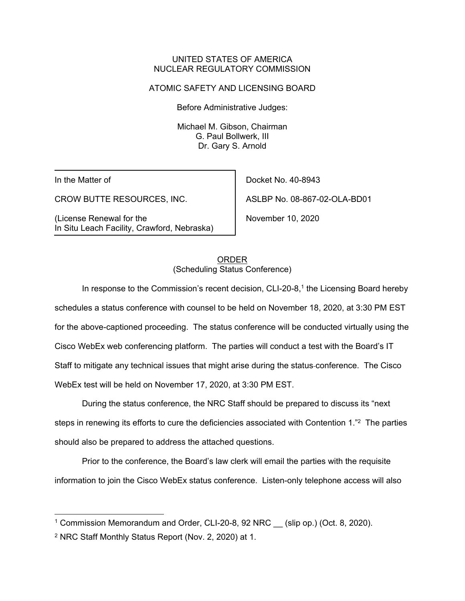## UNITED STATES OF AMERICA NUCLEAR REGULATORY COMMISSION

### ATOMIC SAFETY AND LICENSING BOARD

Before Administrative Judges:

Michael M. Gibson, Chairman G. Paul Bollwerk, III Dr. Gary S. Arnold

In the Matter of

CROW BUTTE RESOURCES, INC.

(License Renewal for the In Situ Leach Facility, Crawford, Nebraska)

Docket No. 40-8943 ASLBP No. 08-867-02-OLA-BD01

November 10, 2020

#### ORDER (Scheduling Status Conference)

In response to the Commission's recent decision,  $CLI-20-8$ ,<sup>1</sup> the Licensing Board hereby schedules a status conference with counsel to be held on November 18, 2020, at 3:30 PM EST for the above-captioned proceeding. The status conference will be conducted virtually using the Cisco WebEx web conferencing platform. The parties will conduct a test with the Board's IT Staff to mitigate any technical issues that might arise during the status conference. The Cisco WebEx test will be held on November 17, 2020, at 3:30 PM EST.

During the status conference, the NRC Staff should be prepared to discuss its "next steps in renewing its efforts to cure the deficiencies associated with Contention 1."2 The parties should also be prepared to address the attached questions.

Prior to the conference, the Board's law clerk will email the parties with the requisite information to join the Cisco WebEx status conference. Listen-only telephone access will also

<sup>&</sup>lt;sup>1</sup> Commission Memorandum and Order, CLI-20-8, 92 NRC \_\_ (slip op.) (Oct. 8, 2020).

<sup>2</sup> NRC Staff Monthly Status Report (Nov. 2, 2020) at 1.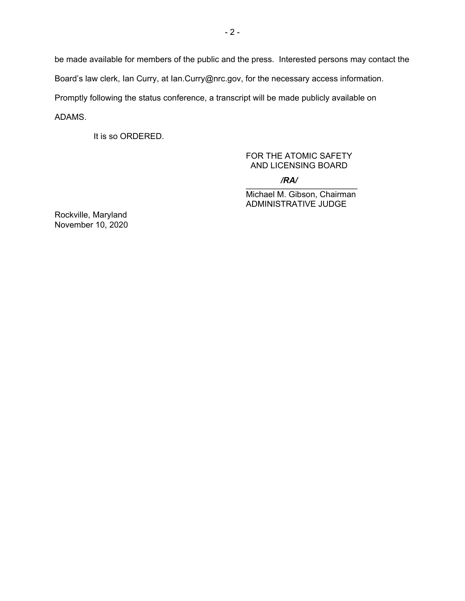be made available for members of the public and the press. Interested persons may contact the Board's law clerk, Ian Curry, at Ian.Curry@nrc.gov, for the necessary access information. Promptly following the status conference, a transcript will be made publicly available on ADAMS.

It is so ORDERED.

# FOR THE ATOMIC SAFETY AND LICENSING BOARD

 $\overline{M}$ */RA/*

Michael M. Gibson, Chairman ADMINISTRATIVE JUDGE

Rockville, Maryland November 10, 2020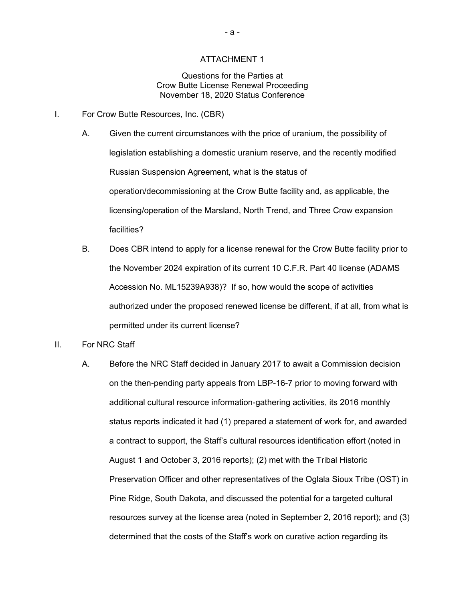#### ATTACHMENT 1

#### Questions for the Parties at Crow Butte License Renewal Proceeding November 18, 2020 Status Conference

- I. For Crow Butte Resources, Inc. (CBR)
	- A. Given the current circumstances with the price of uranium, the possibility of legislation establishing a domestic uranium reserve, and the recently modified Russian Suspension Agreement, what is the status of operation/decommissioning at the Crow Butte facility and, as applicable, the licensing/operation of the Marsland, North Trend, and Three Crow expansion facilities?
	- B. Does CBR intend to apply for a license renewal for the Crow Butte facility prior to the November 2024 expiration of its current 10 C.F.R. Part 40 license (ADAMS Accession No. ML15239A938)? If so, how would the scope of activities authorized under the proposed renewed license be different, if at all, from what is permitted under its current license?
- II. For NRC Staff
	- A. Before the NRC Staff decided in January 2017 to await a Commission decision on the then-pending party appeals from LBP-16-7 prior to moving forward with additional cultural resource information-gathering activities, its 2016 monthly status reports indicated it had (1) prepared a statement of work for, and awarded a contract to support, the Staff's cultural resources identification effort (noted in August 1 and October 3, 2016 reports); (2) met with the Tribal Historic Preservation Officer and other representatives of the Oglala Sioux Tribe (OST) in Pine Ridge, South Dakota, and discussed the potential for a targeted cultural resources survey at the license area (noted in September 2, 2016 report); and (3) determined that the costs of the Staff's work on curative action regarding its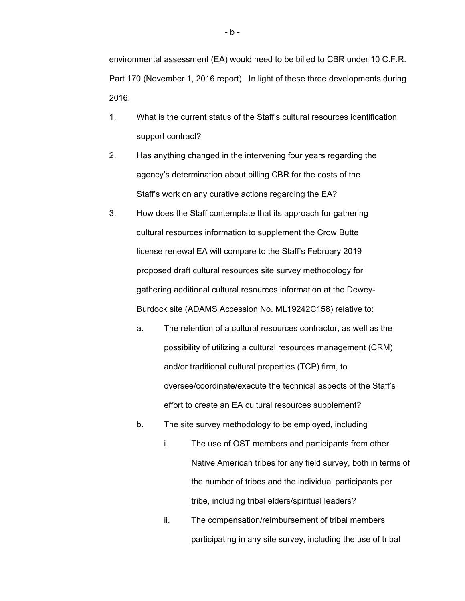environmental assessment (EA) would need to be billed to CBR under 10 C.F.R. Part 170 (November 1, 2016 report). In light of these three developments during 2016:

- 1. What is the current status of the Staff's cultural resources identification support contract?
- 2. Has anything changed in the intervening four years regarding the agency's determination about billing CBR for the costs of the Staff's work on any curative actions regarding the EA?
- 3. How does the Staff contemplate that its approach for gathering cultural resources information to supplement the Crow Butte license renewal EA will compare to the Staff's February 2019 proposed draft cultural resources site survey methodology for gathering additional cultural resources information at the Dewey- Burdock site (ADAMS Accession No. ML19242C158) relative to:
	- a. The retention of a cultural resources contractor, as well as the possibility of utilizing a cultural resources management (CRM) and/or traditional cultural properties (TCP) firm, to oversee/coordinate/execute the technical aspects of the Staff's effort to create an EA cultural resources supplement?
	- b. The site survey methodology to be employed, including
		- i. The use of OST members and participants from other Native American tribes for any field survey, both in terms of the number of tribes and the individual participants per tribe, including tribal elders/spiritual leaders?
		- ii. The compensation/reimbursement of tribal members participating in any site survey, including the use of tribal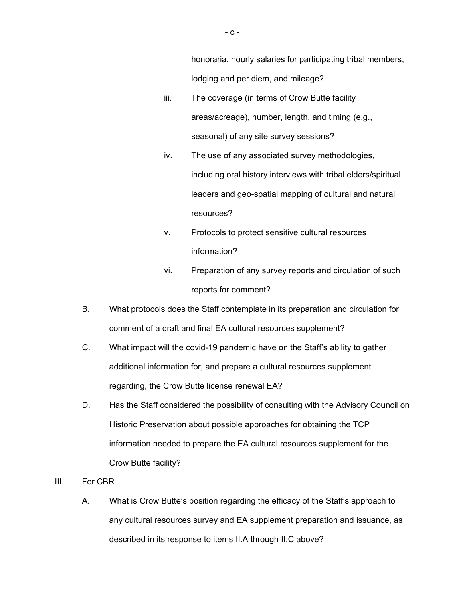honoraria, hourly salaries for participating tribal members, lodging and per diem, and mileage?

- iii. The coverage (in terms of Crow Butte facility areas/acreage), number, length, and timing (e.g., seasonal) of any site survey sessions?
- iv. The use of any associated survey methodologies, including oral history interviews with tribal elders/spiritual leaders and geo-spatial mapping of cultural and natural resources?
- v. Protocols to protect sensitive cultural resources information?
- vi. Preparation of any survey reports and circulation of such reports for comment?
- B. What protocols does the Staff contemplate in its preparation and circulation for comment of a draft and final EA cultural resources supplement?
- C. What impact will the covid-19 pandemic have on the Staff's ability to gather additional information for, and prepare a cultural resources supplement regarding, the Crow Butte license renewal EA?
- D. Has the Staff considered the possibility of consulting with the Advisory Council on Historic Preservation about possible approaches for obtaining the TCP information needed to prepare the EA cultural resources supplement for the Crow Butte facility?
- III. For CBR
	- A. What is Crow Butte's position regarding the efficacy of the Staff's approach to any cultural resources survey and EA supplement preparation and issuance, as described in its response to items II.A through II.C above?

 $-$  C  $-$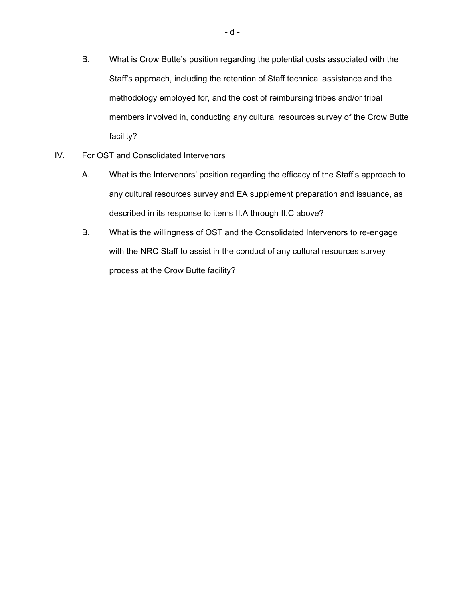- B. What is Crow Butte's position regarding the potential costs associated with the Staff's approach, including the retention of Staff technical assistance and the methodology employed for, and the cost of reimbursing tribes and/or tribal members involved in, conducting any cultural resources survey of the Crow Butte facility?
- IV. For OST and Consolidated Intervenors
	- A. What is the Intervenors' position regarding the efficacy of the Staff's approach to any cultural resources survey and EA supplement preparation and issuance, as described in its response to items II.A through II.C above?
	- B. What is the willingness of OST and the Consolidated Intervenors to re-engage with the NRC Staff to assist in the conduct of any cultural resources survey process at the Crow Butte facility?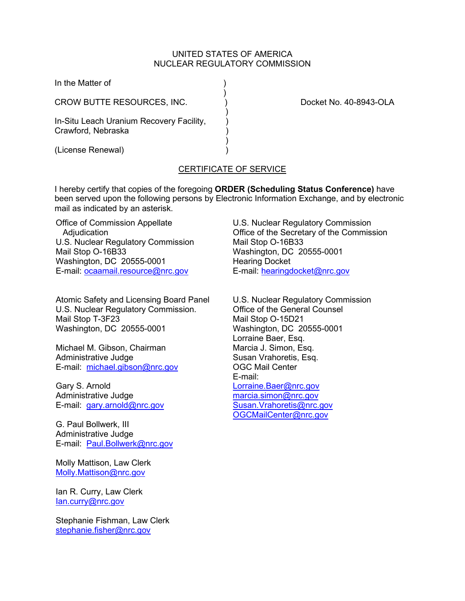### UNITED STATES OF AMERICA NUCLEAR REGULATORY COMMISSION

| In the Matter of                                               |                        |
|----------------------------------------------------------------|------------------------|
| CROW BUTTE RESOURCES, INC.                                     | Docket No. 40-8943-OLA |
| In-Situ Leach Uranium Recovery Facility,<br>Crawford, Nebraska |                        |
| (License Renewal)                                              |                        |

# CERTIFICATE OF SERVICE

I hereby certify that copies of the foregoing **ORDER (Scheduling Status Conference)** have been served upon the following persons by Electronic Information Exchange, and by electronic mail as indicated by an asterisk.

Office of Commission Appellate Adjudication U.S. Nuclear Regulatory Commission Mail Stop O-16B33 Washington, DC 20555-0001 E-mail: [ocaamail.resource@nrc.gov](mailto:ocaamail.resource@nrc.gov)

Atomic Safety and Licensing Board Panel U.S. Nuclear Regulatory Commission. Mail Stop T-3F23 Washington, DC 20555-0001

Michael M. Gibson, Chairman Administrative Judge E-mail: [michael.gibson@nrc.gov](mailto:michael.gibson@nrc.gov)

Gary S. Arnold Administrative Judge E-mail: [gary.arnold@nrc.gov](mailto:gary.arnold@nrc.gov)

G. Paul Bollwerk, III Administrative Judge E-mail: [Paul.Bollwerk@nrc.gov](mailto:Paul.Bollwerk@nrc.gov)

Molly Mattison, Law Clerk [Molly.Mattison@nrc.gov](mailto:Molly.Mattison@nrc.gov)

Ian R. Curry, Law Clerk [Ian.curry@nrc.gov](mailto:Ian.curry@nrc.gov)

Stephanie Fishman, Law Clerk [stephanie.fisher@nrc.gov](mailto:stephanie.fisher@nrc.gov)

U.S. Nuclear Regulatory Commission Office of the Secretary of the Commission Mail Stop O-16B33 Washington, DC 20555-0001 Hearing Docket E-mail: [hearingdocket@nrc.gov](mailto:hearingdocket@nrc.gov)

U.S. Nuclear Regulatory Commission Office of the General Counsel Mail Stop O-15D21 Washington, DC 20555-0001 Lorraine Baer, Esq. Marcia J. Simon, Esq. Susan Vrahoretis, Esq. OGC Mail Center E-mail: [Lorraine.Baer@nrc.gov](mailto:Lorraine.Baer@nrc.gov) [marcia.simon@nrc.gov](mailto:marcia.simon@nrc.gov) [Susan.Vrahoretis@nrc.gov](mailto:Susan.Vrahoretis@nrc.gov) [OGCMailCenter@nrc.gov](mailto:OGCMailCenter@nrc.go)